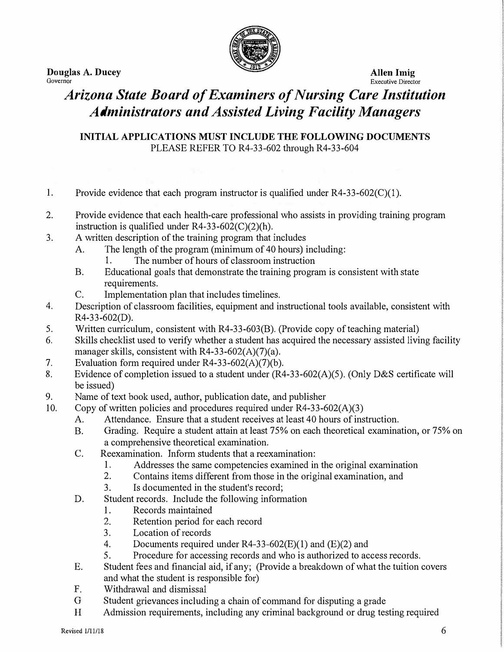**Douglas A. Ducey Allen Imig Allen Imig Allen Imig Allen Imig** *Governor* 



**Executive Director** 

## *Arizona State Board of Examiners of Nursing Care Institution Administrators and Assisted Living Facility Managers*

**INITIAL APPLICATIONS MUST INCLUDE THE FOLLOWING DOCUMENTS**  PLEASE REFER TO R4-33-602 through R4-33-604

- 1. Provide evidence that each program instructor is qualified under  $R4-33-602(C)(1)$ .
- 2. Provide evidence that each health-care professional who assists in providing training program instruction is qualified under  $R4-33-602(C)(2)(h)$ .
- 3. A written description of the training program that includes
	- A. The length of the program (minimum of 40 hours) including:
		- 1. The number of hours of classroom instruction
	- B. Educational goals that demonstrate the training program is consistent with state requirements.
	- C. Implementation plan that includes timelines.
- 4. Description of classroom facilities, equipment and instructional tools available, consistent with R4-33-602(D).
- 5. Written curriculum, consistent with R4-33-603(B). (Provide copy of teaching material)
- 6. Skills checklist used to verify whether a student has acquired the necessary assisted living facility manager skills, consistent with R4-33-602(A)(7)(a).
- 7. Evaluation form required under R4-33-602(A)(7)(b).
- 8. Evidence of completion issued to a student under (R4-33-602(A)(5). (Only D&S certificate will be issued)
- 9. Name of text book used, author, publication date, and publisher
- 10. Copy of written policies and procedures required under  $R4-33-602(A)(3)$ 
	- A. Attendance. Ensure that a student receives at least 40 hours of instruction.
	- B. Grading. Require a student attain at least 75% on each theoretical examination, or 75% on a comprehensive theoretical examination.
	- C. Reexamination. Inform students that a reexamination:
		- 1. Addresses the same competencies examined in the original examination
		- 2. Contains items different from those in the original examination, and
		- 3. Is documented in the student's record;
	- D. Student records. Include the following information
		- 1. Records maintained
		- 2. Retention period for each record
		- 3. Location of records
		- 4. Documents required under R4-33-602(E)(l) and (E)(2) and
		- 5. Procedure for accessing records and who is authorized to access records.
	- E. Student fees and financial aid, if any; (Provide a breakdown of what the tuition covers and what the student is responsible for)
	- F. Withdrawal and dismissal
	- G Student grievances including a chain of command for disputing a grade
	- H Admission requirements, including any criminal background or drug testing required